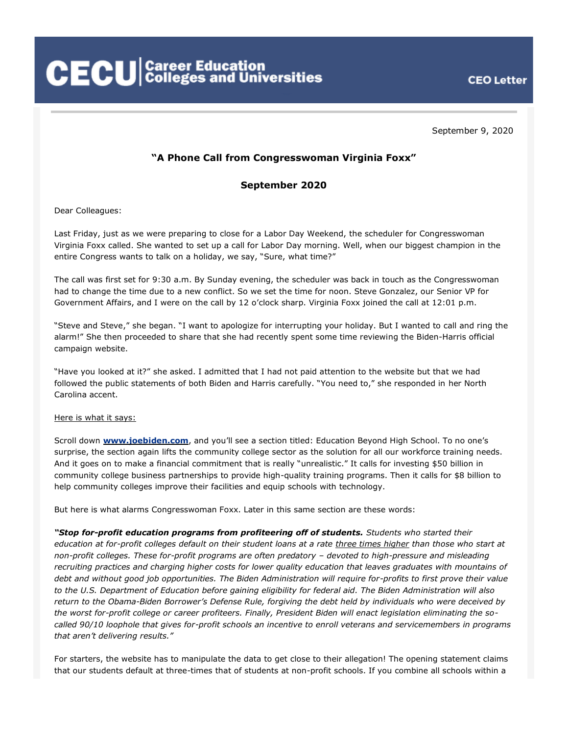**CECU** Career Education<br>CECU Colleges and Universities

**CEO Letter** 

September 9, 2020

# **"A Phone Call from Congresswoman Virginia Foxx"**

## **September 2020**

Dear Colleagues:

Last Friday, just as we were preparing to close for a Labor Day Weekend, the scheduler for Congresswoman Virginia Foxx called. She wanted to set up a call for Labor Day morning. Well, when our biggest champion in the entire Congress wants to talk on a holiday, we say, "Sure, what time?"

The call was first set for 9:30 a.m. By Sunday evening, the scheduler was back in touch as the Congresswoman had to change the time due to a new conflict. So we set the time for noon. Steve Gonzalez, our Senior VP for Government Affairs, and I were on the call by 12 o'clock sharp. Virginia Foxx joined the call at 12:01 p.m.

"Steve and Steve," she began. "I want to apologize for interrupting your holiday. But I wanted to call and ring the alarm!" She then proceeded to share that she had recently spent some time reviewing the Biden-Harris official campaign website.

"Have you looked at it?" she asked. I admitted that I had not paid attention to the website but that we had followed the public statements of both Biden and Harris carefully. "You need to," she responded in her North Carolina accent.

### Here is what it says:

Scroll down **[www.joebiden.com](https://joebiden.com/)**, and you'll see a section titled: Education Beyond High School. To no one's surprise, the section again lifts the community college sector as the solution for all our workforce training needs. And it goes on to make a financial commitment that is really "unrealistic." It calls for investing \$50 billion in community college business partnerships to provide high-quality training programs. Then it calls for \$8 billion to help community colleges improve their facilities and equip schools with technology.

But here is what alarms Congresswoman Foxx. Later in this same section are these words:

*"Stop for-profit education programs from profiteering off of students. Students who started their education at for-profit colleges default on their student loans at a rate three times higher than those who start at non-profit colleges. These for-profit programs are often predatory – devoted to high-pressure and misleading recruiting practices and charging higher costs for lower quality education that leaves graduates with mountains of debt and without good job opportunities. The Biden Administration will require for-profits to first prove their value to the U.S. Department of Education before gaining eligibility for federal aid. The Biden Administration will also return to the Obama-Biden Borrower's Defense Rule, forgiving the debt held by individuals who were deceived by the worst for-profit college or career profiteers. Finally, President Biden will enact legislation eliminating the socalled 90/10 loophole that gives for-profit schools an incentive to enroll veterans and servicemembers in programs that aren't delivering results."*

For starters, the website has to manipulate the data to get close to their allegation! The opening statement claims that our students default at three-times that of students at non-profit schools. If you combine all schools within a